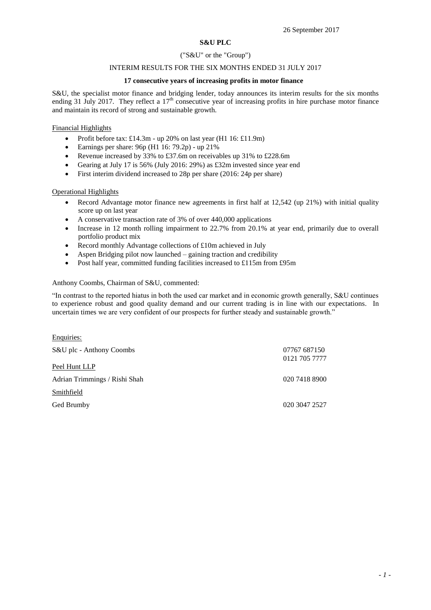# **S&U PLC**

# ("S&U" or the "Group")

# INTERIM RESULTS FOR THE SIX MONTHS ENDED 31 JULY 2017

# **17 consecutive years of increasing profits in motor finance**

S&U, the specialist motor finance and bridging lender, today announces its interim results for the six months ending 31 July 2017. They reflect a  $17<sup>th</sup>$  consecutive year of increasing profits in hire purchase motor finance and maintain its record of strong and sustainable growth.

#### Financial Highlights

- Profit before tax: £14.3m up 20% on last year (H1 16: £11.9m)
- Earnings per share:  $96p$  (H1 16: 79.2p) up 21%
- Revenue increased by 33% to £37.6m on receivables up 31% to £228.6m
- Gearing at July 17 is 56% (July 2016: 29%) as £32m invested since year end
- First interim dividend increased to 28p per share (2016: 24p per share)

#### Operational Highlights

- Record Advantage motor finance new agreements in first half at 12,542 (up 21%) with initial quality score up on last year
- A conservative transaction rate of 3% of over 440,000 applications
- Increase in 12 month rolling impairment to 22.7% from 20.1% at year end, primarily due to overall portfolio product mix
- Record monthly Advantage collections of £10m achieved in July
- Aspen Bridging pilot now launched gaining traction and credibility
- Post half year, committed funding facilities increased to £115m from £95m

#### Anthony Coombs, Chairman of S&U, commented:

"In contrast to the reported hiatus in both the used car market and in economic growth generally, S&U continues to experience robust and good quality demand and our current trading is in line with our expectations. In uncertain times we are very confident of our prospects for further steady and sustainable growth."

| Enquiries:                    |                               |
|-------------------------------|-------------------------------|
| S&U plc - Anthony Coombs      | 07767 687150<br>0121 705 7777 |
| Peel Hunt LLP                 |                               |
| Adrian Trimmings / Rishi Shah | 020 7418 8900                 |
| Smithfield                    |                               |
| Ged Brumby                    | 020 3047 2527                 |
|                               |                               |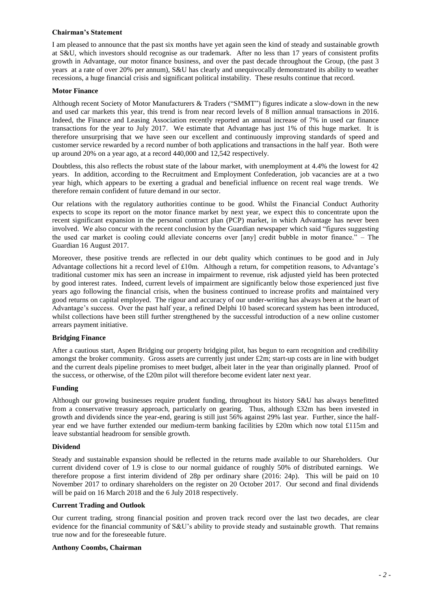# **Chairman's Statement**

I am pleased to announce that the past six months have yet again seen the kind of steady and sustainable growth at S&U, which investors should recognise as our trademark. After no less than 17 years of consistent profits growth in Advantage, our motor finance business, and over the past decade throughout the Group, (the past 3 years at a rate of over 20% per annum), S&U has clearly and unequivocally demonstrated its ability to weather recessions, a huge financial crisis and significant political instability. These results continue that record.

# **Motor Finance**

Although recent Society of Motor Manufacturers & Traders ("SMMT") figures indicate a slow-down in the new and used car markets this year, this trend is from near record levels of 8 million annual transactions in 2016. Indeed, the Finance and Leasing Association recently reported an annual increase of 7% in used car finance transactions for the year to July 2017. We estimate that Advantage has just 1% of this huge market. It is therefore unsurprising that we have seen our excellent and continuously improving standards of speed and customer service rewarded by a record number of both applications and transactions in the half year. Both were up around 20% on a year ago, at a record 440,000 and 12,542 respectively.

Doubtless, this also reflects the robust state of the labour market, with unemployment at 4.4% the lowest for 42 years. In addition, according to the Recruitment and Employment Confederation, job vacancies are at a two year high, which appears to be exerting a gradual and beneficial influence on recent real wage trends. We therefore remain confident of future demand in our sector.

Our relations with the regulatory authorities continue to be good. Whilst the Financial Conduct Authority expects to scope its report on the motor finance market by next year, we expect this to concentrate upon the recent significant expansion in the personal contract plan (PCP) market, in which Advantage has never been involved. We also concur with the recent conclusion by the Guardian newspaper which said "figures suggesting the used car market is cooling could alleviate concerns over [any] credit bubble in motor finance." – The Guardian 16 August 2017.

Moreover, these positive trends are reflected in our debt quality which continues to be good and in July Advantage collections hit a record level of £10m. Although a return, for competition reasons, to Advantage's traditional customer mix has seen an increase in impairment to revenue, risk adjusted yield has been protected by good interest rates. Indeed, current levels of impairment are significantly below those experienced just five years ago following the financial crisis, when the business continued to increase profits and maintained very good returns on capital employed. The rigour and accuracy of our under-writing has always been at the heart of Advantage's success. Over the past half year, a refined Delphi 10 based scorecard system has been introduced, whilst collections have been still further strengthened by the successful introduction of a new online customer arrears payment initiative.

# **Bridging Finance**

After a cautious start, Aspen Bridging our property bridging pilot, has begun to earn recognition and credibility amongst the broker community. Gross assets are currently just under £2m; start-up costs are in line with budget and the current deals pipeline promises to meet budget, albeit later in the year than originally planned. Proof of the success, or otherwise, of the £20m pilot will therefore become evident later next year.

# **Funding**

Although our growing businesses require prudent funding, throughout its history S&U has always benefitted from a conservative treasury approach, particularly on gearing. Thus, although £32m has been invested in growth and dividends since the year-end, gearing is still just 56% against 29% last year. Further, since the halfyear end we have further extended our medium-term banking facilities by £20m which now total £115m and leave substantial headroom for sensible growth.

#### **Dividend**

Steady and sustainable expansion should be reflected in the returns made available to our Shareholders. Our current dividend cover of 1.9 is close to our normal guidance of roughly 50% of distributed earnings. We therefore propose a first interim dividend of 28p per ordinary share (2016: 24p). This will be paid on 10 November 2017 to ordinary shareholders on the register on 20 October 2017. Our second and final dividends will be paid on 16 March 2018 and the 6 July 2018 respectively.

#### **Current Trading and Outlook**

Our current trading, strong financial position and proven track record over the last two decades, are clear evidence for the financial community of S&U's ability to provide steady and sustainable growth. That remains true now and for the foreseeable future.

#### **Anthony Coombs, Chairman**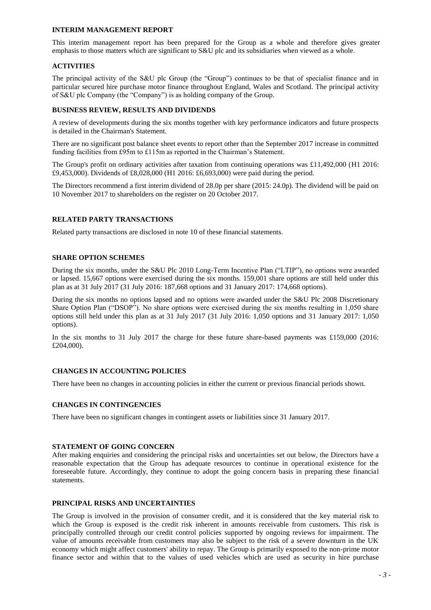#### **INTERIM MANAGEMENT REPORT**

This interim management report has been prepared for the Group as a whole and therefore gives greater emphasis to those matters which are significant to S&U plc and its subsidiaries when viewed as a whole.

#### **ACTIVITIES**

The principal activity of the S&U plc Group (the "Group") continues to be that of specialist finance and in particular secured hire purchase motor finance throughout England, Wales and Scotland. The principal activity of S&U plc Company (the "Company") is as holding company of the Group.

#### **BUSINESS REVIEW, RESULTS AND DIVIDENDS**

A review of developments during the six months together with key performance indicators and future prospects is detailed in the Chairman's Statement.

There are no significant post balance sheet events to report other than the September 2017 increase in committed funding facilities from £95m to £115m as reported in the Chairman's Statement.

The Group's profit on ordinary activities after taxation from continuing operations was £11,492,000 (H1 2016: £9,453,000). Dividends of £8,028,000 (H1 2016: £6,693,000) were paid during the period.

The Directors recommend a first interim dividend of 28.0p per share (2015: 24.0p). The dividend will be paid on 10 November 2017 to shareholders on the register on 20 October 2017.

#### **RELATED PARTY TRANSACTIONS**

Related party transactions are disclosed in note 10 of these financial statements.

# **SHARE OPTION SCHEMES**

During the six months, under the S&U Plc 2010 Long-Term Incentive Plan ("LTIP"), no options were awarded or lapsed. 15,667 options were exercised during the six months. 159,001 share options are still held under this plan as at 31 July 2017 (31 July 2016: 187,668 options and 31 January 2017: 174,668 options).

During the six months no options lapsed and no options were awarded under the S&U Plc 2008 Discretionary Share Option Plan ("DSOP"). No share options were exercised during the six months resulting in 1,050 share options still held under this plan as at 31 July 2017 (31 July 2016: 1,050 options and 31 January 2017: 1,050 options).

In the six months to 31 July 2017 the charge for these future share-based payments was £159,000 (2016: £204,000).

## **CHANGES IN ACCOUNTING POLICIES**

There have been no changes in accounting policies in either the current or previous financial periods shown.

#### **CHANGES IN CONTINGENCIES**

There have been no significant changes in contingent assets or liabilities since 31 January 2017.

#### **STATEMENT OF GOING CONCERN**

After making enquiries and considering the principal risks and uncertainties set out below, the Directors have a reasonable expectation that the Group has adequate resources to continue in operational existence for the foreseeable future. Accordingly, they continue to adopt the going concern basis in preparing these financial statements.

# **PRINCIPAL RISKS AND UNCERTAINTIES**

The Group is involved in the provision of consumer credit, and it is considered that the key material risk to which the Group is exposed is the credit risk inherent in amounts receivable from customers. This risk is principally controlled through our credit control policies supported by ongoing reviews for impairment. The value of amounts receivable from customers may also be subject to the risk of a severe downturn in the UK economy which might affect customers' ability to repay. The Group is primarily exposed to the non-prime motor finance sector and within that to the values of used vehicles which are used as security in hire purchase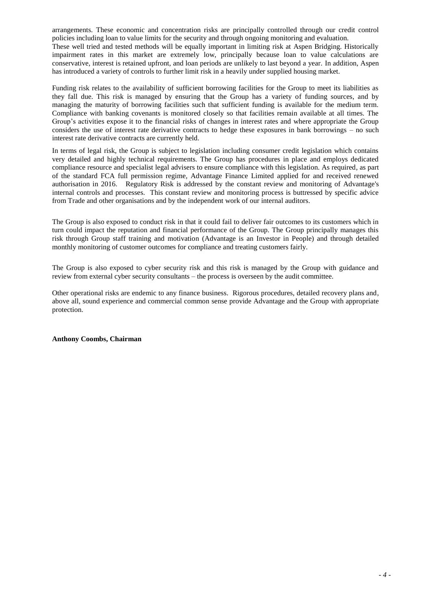arrangements. These economic and concentration risks are principally controlled through our credit control policies including loan to value limits for the security and through ongoing monitoring and evaluation.

These well tried and tested methods will be equally important in limiting risk at Aspen Bridging. Historically impairment rates in this market are extremely low, principally because loan to value calculations are conservative, interest is retained upfront, and loan periods are unlikely to last beyond a year. In addition, Aspen has introduced a variety of controls to further limit risk in a heavily under supplied housing market.

Funding risk relates to the availability of sufficient borrowing facilities for the Group to meet its liabilities as they fall due. This risk is managed by ensuring that the Group has a variety of funding sources, and by managing the maturity of borrowing facilities such that sufficient funding is available for the medium term. Compliance with banking covenants is monitored closely so that facilities remain available at all times. The Group's activities expose it to the financial risks of changes in interest rates and where appropriate the Group considers the use of interest rate derivative contracts to hedge these exposures in bank borrowings – no such interest rate derivative contracts are currently held.

In terms of legal risk, the Group is subject to legislation including consumer credit legislation which contains very detailed and highly technical requirements. The Group has procedures in place and employs dedicated compliance resource and specialist legal advisers to ensure compliance with this legislation. As required, as part of the standard FCA full permission regime, Advantage Finance Limited applied for and received renewed authorisation in 2016. Regulatory Risk is addressed by the constant review and monitoring of Advantage's internal controls and processes. This constant review and monitoring process is buttressed by specific advice from Trade and other organisations and by the independent work of our internal auditors.

The Group is also exposed to conduct risk in that it could fail to deliver fair outcomes to its customers which in turn could impact the reputation and financial performance of the Group. The Group principally manages this risk through Group staff training and motivation (Advantage is an Investor in People) and through detailed monthly monitoring of customer outcomes for compliance and treating customers fairly.

The Group is also exposed to cyber security risk and this risk is managed by the Group with guidance and review from external cyber security consultants – the process is overseen by the audit committee.

Other operational risks are endemic to any finance business. Rigorous procedures, detailed recovery plans and, above all, sound experience and commercial common sense provide Advantage and the Group with appropriate protection.

**Anthony Coombs, Chairman**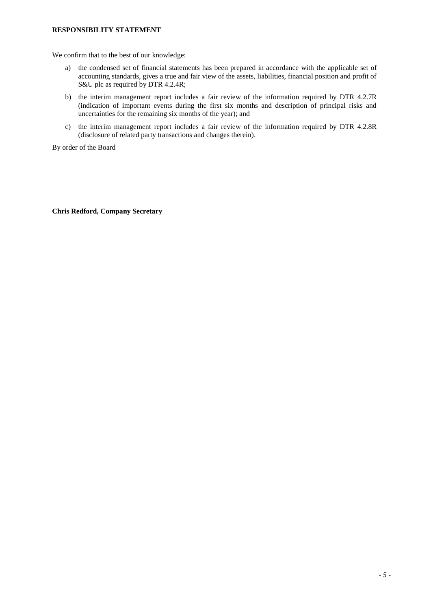# **RESPONSIBILITY STATEMENT**

We confirm that to the best of our knowledge:

- a) the condensed set of financial statements has been prepared in accordance with the applicable set of accounting standards, gives a true and fair view of the assets, liabilities, financial position and profit of S&U plc as required by DTR 4.2.4R;
- b) the interim management report includes a fair review of the information required by DTR 4.2.7R (indication of important events during the first six months and description of principal risks and uncertainties for the remaining six months of the year); and
- c) the interim management report includes a fair review of the information required by DTR 4.2.8R (disclosure of related party transactions and changes therein).

By order of the Board

**Chris Redford, Company Secretary**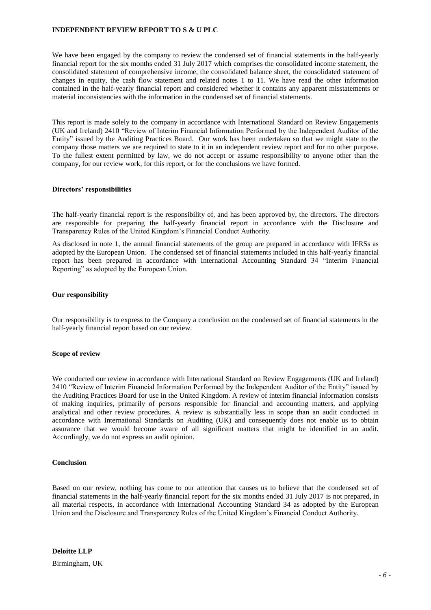#### **INDEPENDENT REVIEW REPORT TO S & U PLC**

We have been engaged by the company to review the condensed set of financial statements in the half-yearly financial report for the six months ended 31 July 2017 which comprises the consolidated income statement, the consolidated statement of comprehensive income, the consolidated balance sheet, the consolidated statement of changes in equity, the cash flow statement and related notes 1 to 11. We have read the other information contained in the half-yearly financial report and considered whether it contains any apparent misstatements or material inconsistencies with the information in the condensed set of financial statements.

This report is made solely to the company in accordance with International Standard on Review Engagements (UK and Ireland) 2410 "Review of Interim Financial Information Performed by the Independent Auditor of the Entity" issued by the Auditing Practices Board. Our work has been undertaken so that we might state to the company those matters we are required to state to it in an independent review report and for no other purpose. To the fullest extent permitted by law, we do not accept or assume responsibility to anyone other than the company, for our review work, for this report, or for the conclusions we have formed.

#### **Directors' responsibilities**

The half-yearly financial report is the responsibility of, and has been approved by, the directors. The directors are responsible for preparing the half-yearly financial report in accordance with the Disclosure and Transparency Rules of the United Kingdom's Financial Conduct Authority.

As disclosed in note 1, the annual financial statements of the group are prepared in accordance with IFRSs as adopted by the European Union. The condensed set of financial statements included in this half-yearly financial report has been prepared in accordance with International Accounting Standard 34 "Interim Financial Reporting" as adopted by the European Union.

#### **Our responsibility**

Our responsibility is to express to the Company a conclusion on the condensed set of financial statements in the half-yearly financial report based on our review.

#### **Scope of review**

We conducted our review in accordance with International Standard on Review Engagements (UK and Ireland) 2410 "Review of Interim Financial Information Performed by the Independent Auditor of the Entity" issued by the Auditing Practices Board for use in the United Kingdom. A review of interim financial information consists of making inquiries, primarily of persons responsible for financial and accounting matters, and applying analytical and other review procedures. A review is substantially less in scope than an audit conducted in accordance with International Standards on Auditing (UK) and consequently does not enable us to obtain assurance that we would become aware of all significant matters that might be identified in an audit. Accordingly, we do not express an audit opinion.

#### **Conclusion**

Based on our review, nothing has come to our attention that causes us to believe that the condensed set of financial statements in the half-yearly financial report for the six months ended 31 July 2017 is not prepared, in all material respects, in accordance with International Accounting Standard 34 as adopted by the European Union and the Disclosure and Transparency Rules of the United Kingdom's Financial Conduct Authority.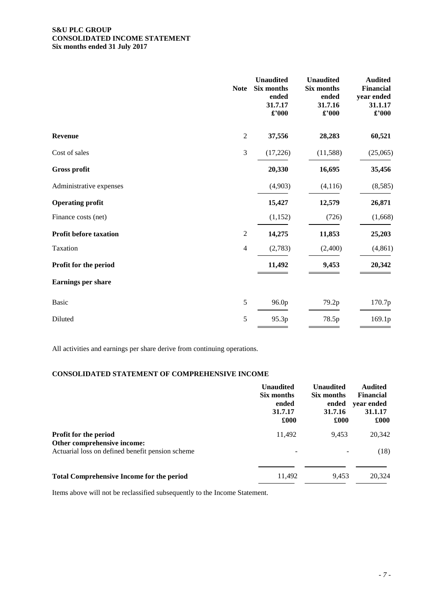# **S&U PLC GROUP CONSOLIDATED INCOME STATEMENT Six months ended 31 July 2017**

|                               | <b>Note</b>    | <b>Unaudited</b><br>Six months<br>ended<br>31.7.17<br>£'000 | <b>Unaudited</b><br>Six months<br>ended<br>31.7.16<br>£'000 | <b>Audited</b><br><b>Financial</b><br>year ended<br>31.1.17<br>£'000 |
|-------------------------------|----------------|-------------------------------------------------------------|-------------------------------------------------------------|----------------------------------------------------------------------|
| <b>Revenue</b>                | $\overline{2}$ | 37,556                                                      | 28,283                                                      | 60,521                                                               |
| Cost of sales                 | 3              | (17,226)                                                    | (11,588)                                                    | (25,065)                                                             |
| <b>Gross profit</b>           |                | 20,330                                                      | 16,695                                                      | 35,456                                                               |
| Administrative expenses       |                | (4,903)                                                     | (4,116)                                                     | (8,585)                                                              |
| <b>Operating profit</b>       |                | 15,427                                                      | 12,579                                                      | 26,871                                                               |
| Finance costs (net)           |                | (1,152)                                                     | (726)                                                       | (1,668)                                                              |
| <b>Profit before taxation</b> | $\overline{2}$ | 14,275                                                      | 11,853                                                      | 25,203                                                               |
| Taxation                      | $\overline{4}$ | (2,783)                                                     | (2,400)                                                     | (4, 861)                                                             |
| Profit for the period         |                | 11,492                                                      | 9,453                                                       | 20,342                                                               |
| Earnings per share            |                |                                                             |                                                             |                                                                      |
| <b>Basic</b>                  | 5              | 96.0p                                                       | 79.2p                                                       | 170.7p                                                               |
| Diluted                       | 5              | 95.3p                                                       | 78.5p                                                       | 169.1p                                                               |

All activities and earnings per share derive from continuing operations.

# **CONSOLIDATED STATEMENT OF COMPREHENSIVE INCOME**

|                                                             | <b>Unaudited</b><br>Six months<br>ended<br>31.7.17<br>£000 | <b>Unaudited</b><br>Six months<br>ended<br>31.7.16<br>£000 | <b>Audited</b><br><b>Financial</b><br>vear ended<br>31.1.17<br>£000 |
|-------------------------------------------------------------|------------------------------------------------------------|------------------------------------------------------------|---------------------------------------------------------------------|
| <b>Profit for the period</b><br>Other comprehensive income: | 11,492                                                     | 9.453                                                      | 20,342                                                              |
| Actuarial loss on defined benefit pension scheme            |                                                            |                                                            | (18)                                                                |
| <b>Total Comprehensive Income for the period</b>            | 11,492                                                     | 9,453                                                      | 20,324                                                              |

Items above will not be reclassified subsequently to the Income Statement.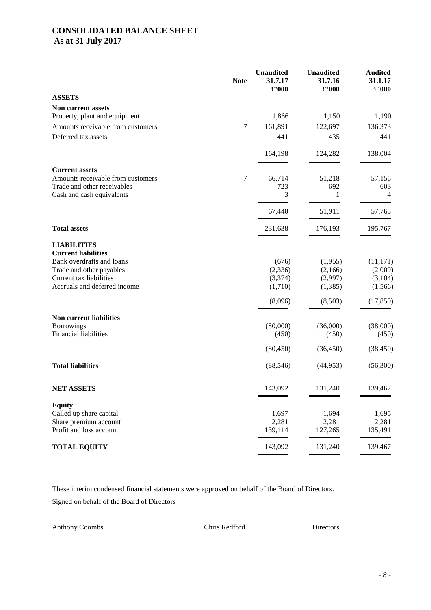# **CONSOLIDATED BALANCE SHEET As at 31 July 2017**

|                                   | <b>Note</b> | <b>Unaudited</b><br>31.7.17<br>£'000 | <b>Unaudited</b><br>31.7.16<br>£'000 | <b>Audited</b><br>31.1.17<br>$\pmb{\pounds}$ '000 |
|-----------------------------------|-------------|--------------------------------------|--------------------------------------|---------------------------------------------------|
| <b>ASSETS</b>                     |             |                                      |                                      |                                                   |
| <b>Non current assets</b>         |             |                                      |                                      |                                                   |
| Property, plant and equipment     |             | 1,866                                | 1,150                                | 1,190                                             |
| Amounts receivable from customers | $\tau$      | 161,891                              | 122,697                              | 136,373                                           |
| Deferred tax assets               |             | 441                                  | 435                                  | 441                                               |
|                                   |             | 164,198                              | 124,282                              | 138,004                                           |
| <b>Current assets</b>             |             |                                      |                                      |                                                   |
| Amounts receivable from customers | $\tau$      | 66,714                               | 51,218                               | 57,156                                            |
| Trade and other receivables       |             | 723                                  | 692                                  | 603                                               |
| Cash and cash equivalents         |             | 3                                    | 1                                    | 4                                                 |
|                                   |             | 67,440                               | 51,911                               | 57,763                                            |
| <b>Total assets</b>               |             | 231,638                              | 176,193                              | 195,767                                           |
| <b>LIABILITIES</b>                |             |                                      |                                      |                                                   |
| <b>Current liabilities</b>        |             |                                      |                                      |                                                   |
| Bank overdrafts and loans         |             | (676)                                | (1,955)                              | (11, 171)                                         |
| Trade and other payables          |             | (2, 336)                             | (2,166)                              | (2,009)                                           |
| Current tax liabilities           |             | (3,374)                              | (2,997)                              | (3,104)                                           |
| Accruals and deferred income      |             | (1,710)                              | (1, 385)                             | (1, 566)                                          |
|                                   |             | (8,096)                              | (8,503)                              | (17, 850)                                         |
| <b>Non current liabilities</b>    |             |                                      |                                      |                                                   |
| <b>Borrowings</b>                 |             | (80,000)                             | (36,000)                             | (38,000)                                          |
| Financial liabilities             |             | (450)                                | (450)                                | (450)                                             |
|                                   |             | (80, 450)                            | (36, 450)                            | (38, 450)                                         |
| <b>Total liabilities</b>          |             | (88, 546)                            | (44, 953)                            | (56,300)                                          |
| <b>NET ASSETS</b>                 |             | 143,092                              | 131,240                              | 139,467                                           |
| <b>Equity</b>                     |             |                                      |                                      |                                                   |
| Called up share capital           |             | 1,697                                | 1,694                                | 1,695                                             |
| Share premium account             |             | 2,281                                | 2,281                                | 2,281                                             |
| Profit and loss account           |             | 139,114                              | 127,265                              | 135,491                                           |
| <b>TOTAL EQUITY</b>               |             | 143,092                              | 131,240                              | 139,467                                           |

These interim condensed financial statements were approved on behalf of the Board of Directors.

Signed on behalf of the Board of Directors

Anthony Coombs Chris Redford Directors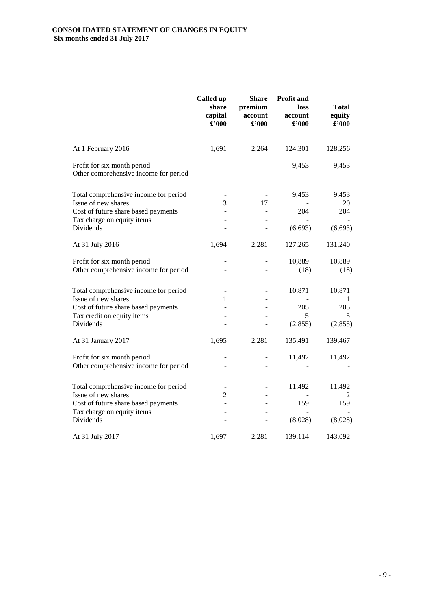|                                                                                                                                                       | <b>Called up</b><br>share<br>capital<br>£'000 | <b>Share</b><br>premium<br>account<br>£'000 | <b>Profit and</b><br>loss<br>account<br>£'000 | <b>Total</b><br>equity<br>£'000    |
|-------------------------------------------------------------------------------------------------------------------------------------------------------|-----------------------------------------------|---------------------------------------------|-----------------------------------------------|------------------------------------|
| At 1 February 2016                                                                                                                                    | 1,691                                         | 2,264                                       | 124,301                                       | 128,256                            |
| Profit for six month period<br>Other comprehensive income for period                                                                                  |                                               |                                             | 9,453                                         | 9,453                              |
| Total comprehensive income for period<br>Issue of new shares<br>Cost of future share based payments<br>Tax charge on equity items<br>Dividends        | 3                                             | 17                                          | 9,453<br>204<br>(6, 693)                      | 9,453<br>20<br>204<br>(6, 693)     |
| At 31 July 2016                                                                                                                                       | 1,694                                         | 2,281                                       | 127,265                                       | 131,240                            |
| Profit for six month period<br>Other comprehensive income for period                                                                                  |                                               |                                             | 10,889<br>(18)                                | 10,889<br>(18)                     |
| Total comprehensive income for period<br>Issue of new shares<br>Cost of future share based payments<br>Tax credit on equity items<br><b>Dividends</b> | 1                                             |                                             | 10,871<br>205<br>5<br>(2,855)                 | 10,871<br>1<br>205<br>5<br>(2,855) |
| At 31 January 2017                                                                                                                                    | 1,695                                         | 2,281                                       | 135,491                                       | 139,467                            |
| Profit for six month period<br>Other comprehensive income for period                                                                                  |                                               |                                             | 11,492                                        | 11,492                             |
| Total comprehensive income for period<br>Issue of new shares<br>Cost of future share based payments<br>Tax charge on equity items<br>Dividends        | $\overline{c}$                                |                                             | 11,492<br>159<br>(8,028)                      | 11,492<br>2<br>159<br>(8,028)      |
| At 31 July 2017                                                                                                                                       | 1,697                                         | 2,281                                       | 139,114                                       | 143,092                            |
|                                                                                                                                                       |                                               |                                             |                                               |                                    |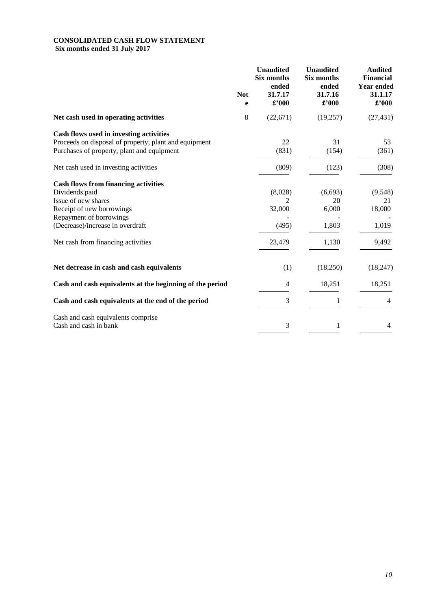# **CONSOLIDATED CASH FLOW STATEMENT Six months ended 31 July 2017**

|                                                                                                     | <b>Not</b><br>e | <b>Unaudited</b><br>Six months<br>ended<br>31.7.17<br>£'000 | <b>Unaudited</b><br>Six months<br>ended<br>31.7.16<br>£'000 | <b>Audited</b><br><b>Financial</b><br><b>Year ended</b><br>31.1.17<br>£'000 |
|-----------------------------------------------------------------------------------------------------|-----------------|-------------------------------------------------------------|-------------------------------------------------------------|-----------------------------------------------------------------------------|
| Net cash used in operating activities                                                               | 8               | (22,671)                                                    | (19,257)                                                    | (27, 431)                                                                   |
| Cash flows used in investing activities                                                             |                 |                                                             |                                                             |                                                                             |
| Proceeds on disposal of property, plant and equipment<br>Purchases of property, plant and equipment |                 | 22<br>(831)                                                 | 31<br>(154)                                                 | 53<br>(361)                                                                 |
| Net cash used in investing activities                                                               |                 | (809)                                                       | (123)                                                       | (308)                                                                       |
| <b>Cash flows from financing activities</b>                                                         |                 |                                                             |                                                             |                                                                             |
| Dividends paid                                                                                      |                 | (8,028)                                                     | (6, 693)                                                    | (9, 548)                                                                    |
| Issue of new shares                                                                                 |                 | 2                                                           | 20                                                          | 21                                                                          |
| Receipt of new borrowings                                                                           |                 | 32,000                                                      | 6,000                                                       | 18,000                                                                      |
| Repayment of borrowings                                                                             |                 |                                                             |                                                             |                                                                             |
| (Decrease)/increase in overdraft                                                                    |                 | (495)                                                       | 1,803                                                       | 1,019                                                                       |
| Net cash from financing activities                                                                  |                 | 23,479                                                      | 1,130                                                       | 9,492                                                                       |
| Net decrease in cash and cash equivalents                                                           |                 | (1)                                                         | (18,250)                                                    | (18, 247)                                                                   |
| Cash and cash equivalents at the beginning of the period                                            |                 | 4                                                           | 18,251                                                      | 18,251                                                                      |
| Cash and cash equivalents at the end of the period                                                  |                 | 3                                                           | 1                                                           | 4                                                                           |
| Cash and cash equivalents comprise<br>Cash and cash in bank                                         |                 | 3                                                           | 1                                                           | 4                                                                           |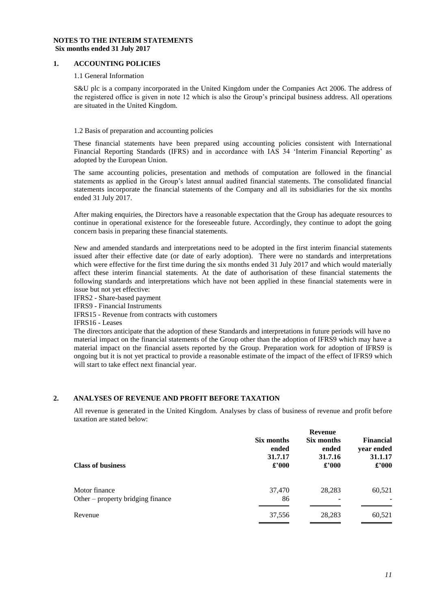#### **NOTES TO THE INTERIM STATEMENTS Six months ended 31 July 2017**

# **1. ACCOUNTING POLICIES**

#### 1.1 General Information

S&U plc is a company incorporated in the United Kingdom under the Companies Act 2006. The address of the registered office is given in note 12 which is also the Group's principal business address. All operations are situated in the United Kingdom.

#### 1.2 Basis of preparation and accounting policies

These financial statements have been prepared using accounting policies consistent with International Financial Reporting Standards (IFRS) and in accordance with IAS 34 'Interim Financial Reporting' as adopted by the European Union.

The same accounting policies, presentation and methods of computation are followed in the financial statements as applied in the Group's latest annual audited financial statements. The consolidated financial statements incorporate the financial statements of the Company and all its subsidiaries for the six months ended 31 July 2017.

After making enquiries, the Directors have a reasonable expectation that the Group has adequate resources to continue in operational existence for the foreseeable future. Accordingly, they continue to adopt the going concern basis in preparing these financial statements.

New and amended standards and interpretations need to be adopted in the first interim financial statements issued after their effective date (or date of early adoption). There were no standards and interpretations which were effective for the first time during the six months ended 31 July 2017 and which would materially affect these interim financial statements. At the date of authorisation of these financial statements the following standards and interpretations which have not been applied in these financial statements were in issue but not yet effective:

IFRS2 - Share-based payment IFRS9 - Financial Instruments IFRS15 - Revenue from contracts with customers IFRS16 - Leases

The directors anticipate that the adoption of these Standards and interpretations in future periods will have no material impact on the financial statements of the Group other than the adoption of IFRS9 which may have a material impact on the financial assets reported by the Group. Preparation work for adoption of IFRS9 is ongoing but it is not yet practical to provide a reasonable estimate of the impact of the effect of IFRS9 which will start to take effect next financial year.

#### **2. ANALYSES OF REVENUE AND PROFIT BEFORE TAXATION**

All revenue is generated in the United Kingdom. Analyses by class of business of revenue and profit before taxation are stated below:

| <b>Class of business</b>                           | Six months<br>ended<br>31.7.17<br>$\pounds$ '000 | <b>Revenue</b><br>Six months<br>ended<br>31.7.16<br>£'000 | <b>Financial</b><br>year ended<br>31.1.17<br>$\pounds$ '000 |
|----------------------------------------------------|--------------------------------------------------|-----------------------------------------------------------|-------------------------------------------------------------|
| Motor finance<br>Other – property bridging finance | 37,470<br>86                                     | 28,283                                                    | 60,521                                                      |
| Revenue                                            | 37,556                                           | 28,283                                                    | 60,521                                                      |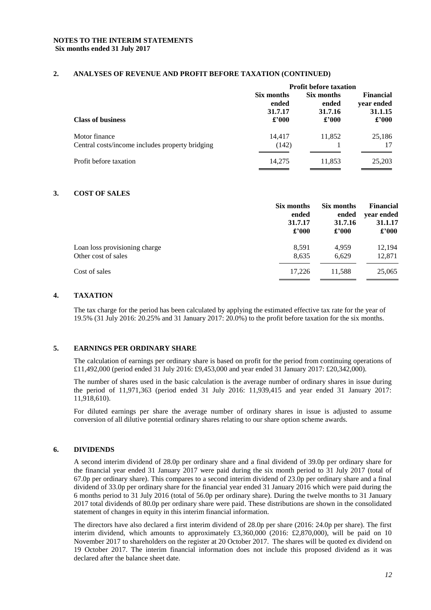#### **NOTES TO THE INTERIM STATEMENTS Six months ended 31 July 2017**

#### **2. ANALYSES OF REVENUE AND PROFIT BEFORE TAXATION (CONTINUED)**

|                                                 | <b>Profit before taxation</b> |            |                  |  |
|-------------------------------------------------|-------------------------------|------------|------------------|--|
| <b>Class of business</b>                        | Six months                    | Six months | <b>Financial</b> |  |
|                                                 | ended                         | ended      | year ended       |  |
|                                                 | 31.7.17                       | 31.7.16    | 31.1.15          |  |
|                                                 | $\pounds$ '000                | £'000      | $\pounds$ '000   |  |
| Motor finance                                   | 14,417                        | 11,852     | 25,186           |  |
| Central costs/income includes property bridging | (142)                         |            | 17               |  |
| Profit before taxation                          | 14,275                        | 11,853     | 25,203           |  |

#### **3. COST OF SALES**

|                               | Six months<br>ended<br>31.7.17<br>$\pounds$ '000 | Six months<br>ended<br>31.7.16<br>$\pounds$ '000 | <b>Financial</b><br>year ended<br>31.1.17<br>$\pounds$ '000 |
|-------------------------------|--------------------------------------------------|--------------------------------------------------|-------------------------------------------------------------|
| Loan loss provisioning charge | 8,591                                            | 4.959                                            | 12,194                                                      |
| Other cost of sales           | 8.635                                            | 6.629                                            | 12,871                                                      |
| Cost of sales                 | 17,226                                           | 11.588                                           | 25,065                                                      |

#### **4. TAXATION**

The tax charge for the period has been calculated by applying the estimated effective tax rate for the year of 19.5% (31 July 2016: 20.25% and 31 January 2017: 20.0%) to the profit before taxation for the six months.

# **5. EARNINGS PER ORDINARY SHARE**

The calculation of earnings per ordinary share is based on profit for the period from continuing operations of £11,492,000 (period ended 31 July 2016: £9,453,000 and year ended 31 January 2017: £20,342,000).

The number of shares used in the basic calculation is the average number of ordinary shares in issue during the period of 11,971,363 (period ended 31 July 2016: 11,939,415 and year ended 31 January 2017: 11,918,610).

For diluted earnings per share the average number of ordinary shares in issue is adjusted to assume conversion of all dilutive potential ordinary shares relating to our share option scheme awards.

#### **6. DIVIDENDS**

A second interim dividend of 28.0p per ordinary share and a final dividend of 39.0p per ordinary share for the financial year ended 31 January 2017 were paid during the six month period to 31 July 2017 (total of 67.0p per ordinary share). This compares to a second interim dividend of 23.0p per ordinary share and a final dividend of 33.0p per ordinary share for the financial year ended 31 January 2016 which were paid during the 6 months period to 31 July 2016 (total of 56.0p per ordinary share). During the twelve months to 31 January 2017 total dividends of 80.0p per ordinary share were paid. These distributions are shown in the consolidated statement of changes in equity in this interim financial information.

The directors have also declared a first interim dividend of 28.0p per share (2016: 24.0p per share). The first interim dividend, which amounts to approximately £3,360,000 (2016: £2,870,000), will be paid on 10 November 2017 to shareholders on the register at 20 October 2017. The shares will be quoted ex dividend on 19 October 2017. The interim financial information does not include this proposed dividend as it was declared after the balance sheet date.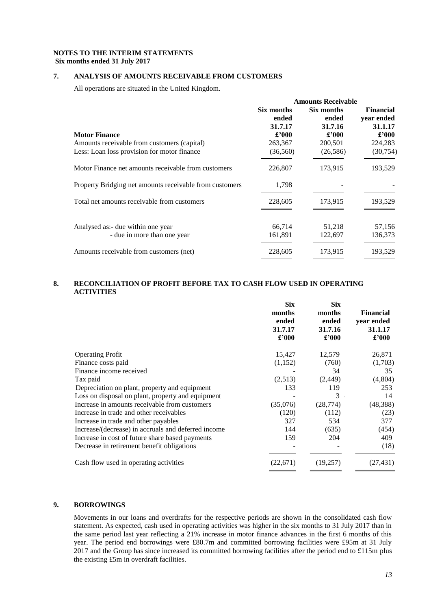#### **NOTES TO THE INTERIM STATEMENTS Six months ended 31 July 2017**

# **7. ANALYSIS OF AMOUNTS RECEIVABLE FROM CUSTOMERS**

All operations are situated in the United Kingdom.

|                                                         | <b>Amounts Receivable</b> |                     |                                |  |
|---------------------------------------------------------|---------------------------|---------------------|--------------------------------|--|
|                                                         | Six months<br>ended       | Six months<br>ended | <b>Financial</b><br>year ended |  |
|                                                         | 31.7.17                   | 31.7.16             | 31.1.17                        |  |
| <b>Motor Finance</b>                                    | £'000                     | $\pounds 000$       | $\pounds 000$                  |  |
| Amounts receivable from customers (capital)             | 263,367                   | 200,501             | 224,283                        |  |
| Less: Loan loss provision for motor finance             | (36, 560)                 | (26, 586)           | (30, 754)                      |  |
| Motor Finance net amounts receivable from customers     | 226,807                   | 173,915             | 193,529                        |  |
| Property Bridging net amounts receivable from customers | 1,798                     |                     |                                |  |
| Total net amounts receivable from customers             | 228,605                   | 173,915             | 193,529                        |  |
|                                                         |                           |                     |                                |  |
| Analysed as:- due within one year                       | 66,714                    | 51,218              | 57,156                         |  |
| - due in more than one year                             | 161,891                   | 122,697             | 136,373                        |  |
| Amounts receivable from customers (net)                 | 228,605                   | 173,915             | 193,529                        |  |

# **8. RECONCILIATION OF PROFIT BEFORE TAX TO CASH FLOW USED IN OPERATING ACTIVITIES**

|                                                     | <b>Six</b><br>months<br>ended<br>31.7.17<br>£2000 | <b>Six</b><br>months<br>ended<br>31.7.16<br>£'000 | <b>Financial</b><br>year ended<br>31.1.17<br>$\pounds$ '000 |
|-----------------------------------------------------|---------------------------------------------------|---------------------------------------------------|-------------------------------------------------------------|
| <b>Operating Profit</b>                             | 15,427                                            | 12,579                                            | 26,871                                                      |
| Finance costs paid                                  | (1,152)                                           | (760)                                             | (1,703)                                                     |
| Finance income received                             |                                                   | 34                                                | 35                                                          |
| Tax paid                                            | (2,513)                                           | (2, 449)                                          | (4,804)                                                     |
| Depreciation on plant, property and equipment       | 133                                               | 119                                               | 253                                                         |
| Loss on disposal on plant, property and equipment   |                                                   | 3                                                 | 14                                                          |
| Increase in amounts receivable from customers       | (35,076)                                          | (28, 774)                                         | (48, 388)                                                   |
| Increase in trade and other receivables             | (120)                                             | (112)                                             | (23)                                                        |
| Increase in trade and other payables                | 327                                               | 534                                               | 377                                                         |
| Increase/(decrease) in accruals and deferred income | 144                                               | (635)                                             | (454)                                                       |
| Increase in cost of future share based payments     | 159                                               | 204                                               | 409                                                         |
| Decrease in retirement benefit obligations          |                                                   |                                                   | (18)                                                        |
| Cash flow used in operating activities              | (22, 671)                                         | (19,257)                                          | (27, 431)                                                   |

# **9. BORROWINGS**

Movements in our loans and overdrafts for the respective periods are shown in the consolidated cash flow statement. As expected, cash used in operating activities was higher in the six months to 31 July 2017 than in the same period last year reflecting a 21% increase in motor finance advances in the first 6 months of this year. The period end borrowings were £80.7m and committed borrowing facilities were £95m at 31 July 2017 and the Group has since increased its committed borrowing facilities after the period end to £115m plus the existing £5m in overdraft facilities.